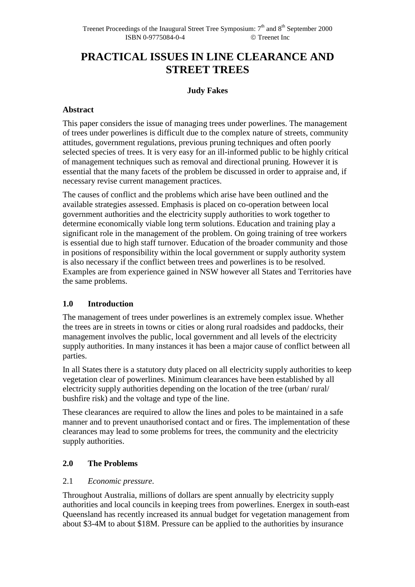# **PRACTICAL ISSUES IN LINE CLEARANCE AND STREET TREES**

### **Judy Fakes**

### **Abstract**

This paper considers the issue of managing trees under powerlines. The management of trees under powerlines is difficult due to the complex nature of streets, community attitudes, government regulations, previous pruning techniques and often poorly selected species of trees. It is very easy for an ill-informed public to be highly critical of management techniques such as removal and directional pruning. However it is essential that the many facets of the problem be discussed in order to appraise and, if necessary revise current management practices.

The causes of conflict and the problems which arise have been outlined and the available strategies assessed. Emphasis is placed on co-operation between local government authorities and the electricity supply authorities to work together to determine economically viable long term solutions. Education and training play a significant role in the management of the problem. On going training of tree workers is essential due to high staff turnover. Education of the broader community and those in positions of responsibility within the local government or supply authority system is also necessary if the conflict between trees and powerlines is to be resolved. Examples are from experience gained in NSW however all States and Territories have the same problems.

### **1.0 Introduction**

The management of trees under powerlines is an extremely complex issue. Whether the trees are in streets in towns or cities or along rural roadsides and paddocks, their management involves the public, local government and all levels of the electricity supply authorities. In many instances it has been a major cause of conflict between all parties.

In all States there is a statutory duty placed on all electricity supply authorities to keep vegetation clear of powerlines. Minimum clearances have been established by all electricity supply authorities depending on the location of the tree (urban/ rural/ bushfire risk) and the voltage and type of the line.

These clearances are required to allow the lines and poles to be maintained in a safe manner and to prevent unauthorised contact and or fires. The implementation of these clearances may lead to some problems for trees, the community and the electricity supply authorities.

### **2.0 The Problems**

### 2.1 *Economic pressure*.

Throughout Australia, millions of dollars are spent annually by electricity supply authorities and local councils in keeping trees from powerlines. Energex in south-east Queensland has recently increased its annual budget for vegetation management from about \$3-4M to about \$18M. Pressure can be applied to the authorities by insurance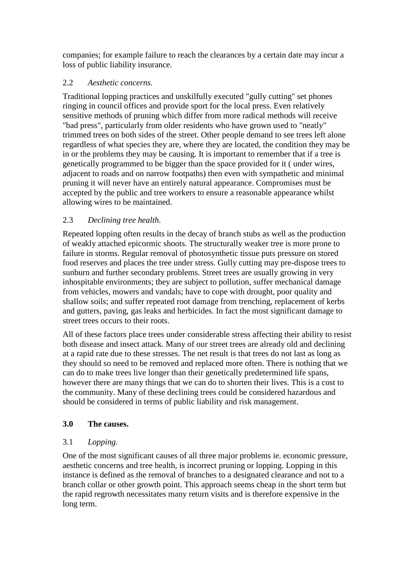companies; for example failure to reach the clearances by a certain date may incur a loss of public liability insurance.

### 2.2 *Aesthetic concerns.*

Traditional lopping practices and unskilfully executed "gully cutting" set phones ringing in council offices and provide sport for the local press. Even relatively sensitive methods of pruning which differ from more radical methods will receive "bad press", particularly from older residents who have grown used to "neatly" trimmed trees on both sides of the street. Other people demand to see trees left alone regardless of what species they are, where they are located, the condition they may be in or the problems they may be causing. It is important to remember that if a tree is genetically programmed to be bigger than the space provided for it ( under wires, adjacent to roads and on narrow footpaths) then even with sympathetic and minimal pruning it will never have an entirely natural appearance. Compromises must be accepted by the public and tree workers to ensure a reasonable appearance whilst allowing wires to be maintained.

### 2.3 *Declining tree health*.

Repeated lopping often results in the decay of branch stubs as well as the production of weakly attached epicormic shoots. The structurally weaker tree is more prone to failure in storms. Regular removal of photosynthetic tissue puts pressure on stored food reserves and places the tree under stress. Gully cutting may pre-dispose trees to sunburn and further secondary problems. Street trees are usually growing in very inhospitable environments; they are subject to pollution, suffer mechanical damage from vehicles, mowers and vandals; have to cope with drought, poor quality and shallow soils; and suffer repeated root damage from trenching, replacement of kerbs and gutters, paving, gas leaks and herbicides. In fact the most significant damage to street trees occurs to their roots.

All of these factors place trees under considerable stress affecting their ability to resist both disease and insect attack. Many of our street trees are already old and declining at a rapid rate due to these stresses. The net result is that trees do not last as long as they should so need to be removed and replaced more often. There is nothing that we can do to make trees live longer than their genetically predetermined life spans, however there are many things that we can do to shorten their lives. This is a cost to the community. Many of these declining trees could be considered hazardous and should be considered in terms of public liability and risk management.

### **3.0 The causes.**

## 3.1 *Lopping.*

One of the most significant causes of all three major problems ie. economic pressure, aesthetic concerns and tree health, is incorrect pruning or lopping. Lopping in this instance is defined as the removal of branches to a designated clearance and not to a branch collar or other growth point. This approach seems cheap in the short term but the rapid regrowth necessitates many return visits and is therefore expensive in the long term.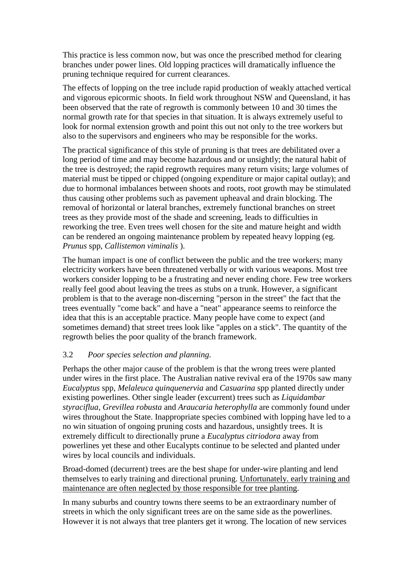This practice is less common now, but was once the prescribed method for clearing branches under power lines. Old lopping practices will dramatically influence the pruning technique required for current clearances.

The effects of lopping on the tree include rapid production of weakly attached vertical and vigorous epicormic shoots. In field work throughout NSW and Queensland, it has been observed that the rate of regrowth is commonly between 10 and 30 times the normal growth rate for that species in that situation. It is always extremely useful to look for normal extension growth and point this out not only to the tree workers but also to the supervisors and engineers who may be responsible for the works.

The practical significance of this style of pruning is that trees are debilitated over a long period of time and may become hazardous and or unsightly; the natural habit of the tree is destroyed; the rapid regrowth requires many return visits; large volumes of material must be tipped or chipped (ongoing expenditure or major capital outlay); and due to hormonal imbalances between shoots and roots, root growth may be stimulated thus causing other problems such as pavement upheaval and drain blocking. The removal of horizontal or lateral branches, extremely functional branches on street trees as they provide most of the shade and screening, leads to difficulties in reworking the tree. Even trees well chosen for the site and mature height and width can be rendered an ongoing maintenance problem by repeated heavy lopping (eg. *Prunus* spp, *Callistemon viminalis* ).

The human impact is one of conflict between the public and the tree workers; many electricity workers have been threatened verbally or with various weapons. Most tree workers consider lopping to be a frustrating and never ending chore. Few tree workers really feel good about leaving the trees as stubs on a trunk. However, a significant problem is that to the average non-discerning "person in the street" the fact that the trees eventually "come back" and have a "neat" appearance seems to reinforce the idea that this is an acceptable practice. Many people have come to expect (and sometimes demand) that street trees look like "apples on a stick". The quantity of the regrowth belies the poor quality of the branch framework.

#### 3.2 *Poor species selection and planning*.

Perhaps the other major cause of the problem is that the wrong trees were planted under wires in the first place. The Australian native revival era of the 1970s saw many *Eucalyptus* spp, *Melaleuca quinquenervia* and *Casuarina* spp planted directly under existing powerlines. Other single leader (excurrent) trees such as *Liquidambar styraciflua*, *Grevillea robusta* and *Araucaria heterophylla* are commonly found under wires throughout the State. Inappropriate species combined with lopping have led to a no win situation of ongoing pruning costs and hazardous, unsightly trees. It is extremely difficult to directionally prune a *Eucalyptus citriodora* away from powerlines yet these and other Eucalypts continue to be selected and planted under wires by local councils and individuals.

Broad-domed (decurrent) trees are the best shape for under-wire planting and lend themselves to early training and directional pruning. Unfortunately. early training and maintenance are often neglected by those responsible for tree planting.

In many suburbs and country towns there seems to be an extraordinary number of streets in which the only significant trees are on the same side as the powerlines. However it is not always that tree planters get it wrong. The location of new services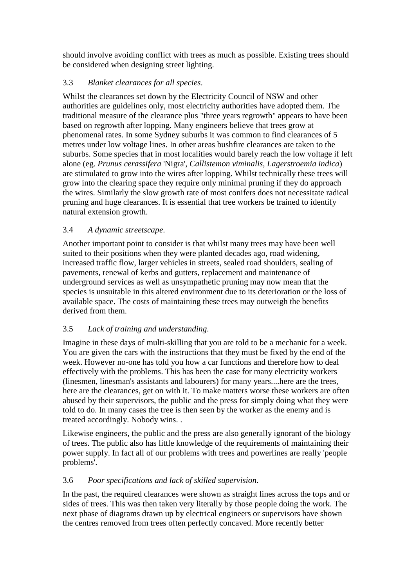should involve avoiding conflict with trees as much as possible. Existing trees should be considered when designing street lighting.

### 3.3 *Blanket clearances for all species*.

Whilst the clearances set down by the Electricity Council of NSW and other authorities are guidelines only, most electricity authorities have adopted them. The traditional measure of the clearance plus "three years regrowth" appears to have been based on regrowth after lopping. Many engineers believe that trees grow at phenomenal rates. In some Sydney suburbs it was common to find clearances of 5 metres under low voltage lines. In other areas bushfire clearances are taken to the suburbs. Some species that in most localities would barely reach the low voltage if left alone (eg. *Prunus cerassifera* 'Nigra', *Callistemon viminalis*, *Lagerstroemia indica*) are stimulated to grow into the wires after lopping. Whilst technically these trees will grow into the clearing space they require only minimal pruning if they do approach the wires. Similarly the slow growth rate of most conifers does not necessitate radical pruning and huge clearances. It is essential that tree workers be trained to identify natural extension growth.

## 3.4 *A dynamic streetscape*.

Another important point to consider is that whilst many trees may have been well suited to their positions when they were planted decades ago, road widening, increased traffic flow, larger vehicles in streets, sealed road shoulders, sealing of pavements, renewal of kerbs and gutters, replacement and maintenance of underground services as well as unsympathetic pruning may now mean that the species is unsuitable in this altered environment due to its deterioration or the loss of available space. The costs of maintaining these trees may outweigh the benefits derived from them.

## 3.5 *Lack of training and understanding*.

Imagine in these days of multi-skilling that you are told to be a mechanic for a week. You are given the cars with the instructions that they must be fixed by the end of the week. However no-one has told you how a car functions and therefore how to deal effectively with the problems. This has been the case for many electricity workers (linesmen, linesman's assistants and labourers) for many years....here are the trees, here are the clearances, get on with it. To make matters worse these workers are often abused by their supervisors, the public and the press for simply doing what they were told to do. In many cases the tree is then seen by the worker as the enemy and is treated accordingly. Nobody wins. .

Likewise engineers, the public and the press are also generally ignorant of the biology of trees. The public also has little knowledge of the requirements of maintaining their power supply. In fact all of our problems with trees and powerlines are really 'people problems'.

## 3.6 *Poor specifications and lack of skilled supervision*.

In the past, the required clearances were shown as straight lines across the tops and or sides of trees. This was then taken very literally by those people doing the work. The next phase of diagrams drawn up by electrical engineers or supervisors have shown the centres removed from trees often perfectly concaved. More recently better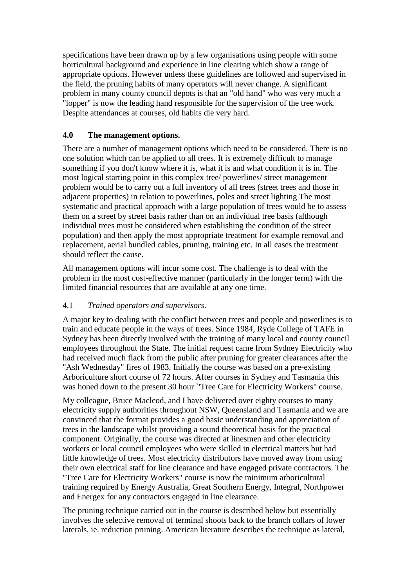specifications have been drawn up by a few organisations using people with some horticultural background and experience in line clearing which show a range of appropriate options. However unless these guidelines are followed and supervised in the field, the pruning habits of many operators will never change. A significant problem in many county council depots is that an "old hand" who was very much a "lopper" is now the leading hand responsible for the supervision of the tree work. Despite attendances at courses, old habits die very hard.

### **4.0 The management options.**

There are a number of management options which need to be considered. There is no one solution which can be applied to all trees. It is extremely difficult to manage something if you don't know where it is, what it is and what condition it is in. The most logical starting point in this complex tree/ powerlines/ street management problem would be to carry out a full inventory of all trees (street trees and those in adjacent properties) in relation to powerlines, poles and street lighting The most systematic and practical approach with a large population of trees would be to assess them on a street by street basis rather than on an individual tree basis (although individual trees must be considered when establishing the condition of the street population) and then apply the most appropriate treatment for example removal and replacement, aerial bundled cables, pruning, training etc. In all cases the treatment should reflect the cause.

All management options will incur some cost. The challenge is to deal with the problem in the most cost-effective manner (particularly in the longer term) with the limited financial resources that are available at any one time.

### 4.1 *Trained operators and supervisors*.

A major key to dealing with the conflict between trees and people and powerlines is to train and educate people in the ways of trees. Since 1984, Ryde College of TAFE in Sydney has been directly involved with the training of many local and county council employees throughout the State. The initial request came from Sydney Electricity who had received much flack from the public after pruning for greater clearances after the "Ash Wednesday" fires of 1983. Initially the course was based on a pre-existing Arboriculture short course of 72 hours. After courses in Sydney and Tasmania this was honed down to the present 30 hour 'Tree Care for Electricity Workers" course.

My colleague, Bruce Macleod, and I have delivered over eighty courses to many electricity supply authorities throughout NSW, Queensland and Tasmania and we are convinced that the format provides a good basic understanding and appreciation of trees in the landscape whilst providing a sound theoretical basis for the practical component. Originally, the course was directed at linesmen and other electricity workers or local council employees who were skilled in electrical matters but had little knowledge of trees. Most electricity distributors have moved away from using their own electrical staff for line clearance and have engaged private contractors. The "Tree Care for Electricity Workers" course is now the minimum arboricultural training required by Energy Australia, Great Southern Energy, Integral, Northpower and Energex for any contractors engaged in line clearance.

The pruning technique carried out in the course is described below but essentially involves the selective removal of terminal shoots back to the branch collars of lower laterals, ie. reduction pruning. American literature describes the technique as lateral,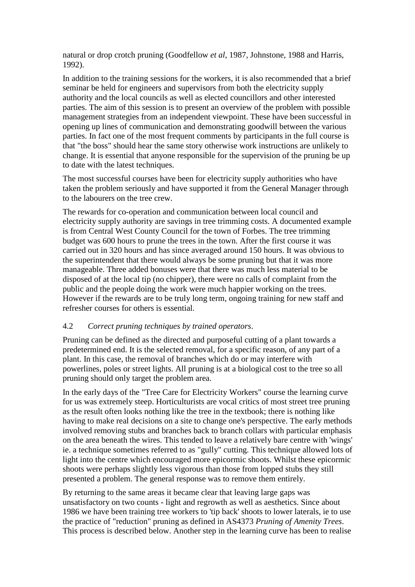natural or drop crotch pruning (Goodfellow *et al*, 1987, Johnstone, 1988 and Harris, 1992).

In addition to the training sessions for the workers, it is also recommended that a brief seminar be held for engineers and supervisors from both the electricity supply authority and the local councils as well as elected councillors and other interested parties. The aim of this session is to present an overview of the problem with possible management strategies from an independent viewpoint. These have been successful in opening up lines of communication and demonstrating goodwill between the various parties. In fact one of the most frequent comments by participants in the full course is that "the boss" should hear the same story otherwise work instructions are unlikely to change. It is essential that anyone responsible for the supervision of the pruning be up to date with the latest techniques.

The most successful courses have been for electricity supply authorities who have taken the problem seriously and have supported it from the General Manager through to the labourers on the tree crew.

The rewards for co-operation and communication between local council and electricity supply authority are savings in tree trimming costs. A documented example is from Central West County Council for the town of Forbes. The tree trimming budget was 600 hours to prune the trees in the town. After the first course it was carried out in 320 hours and has since averaged around 150 hours. It was obvious to the superintendent that there would always be some pruning but that it was more manageable. Three added bonuses were that there was much less material to be disposed of at the local tip (no chipper), there were no calls of complaint from the public and the people doing the work were much happier working on the trees. However if the rewards are to be truly long term, ongoing training for new staff and refresher courses for others is essential.

#### 4.2 *Correct pruning techniques by trained operators*.

Pruning can be defined as the directed and purposeful cutting of a plant towards a predetermined end. It is the selected removal, for a specific reason, of any part of a plant. In this case, the removal of branches which do or may interfere with powerlines, poles or street lights. All pruning is at a biological cost to the tree so all pruning should only target the problem area.

In the early days of the "Tree Care for Electricity Workers" course the learning curve for us was extremely steep. Horticulturists are vocal critics of most street tree pruning as the result often looks nothing like the tree in the textbook; there is nothing like having to make real decisions on a site to change one's perspective. The early methods involved removing stubs and branches back to branch collars with particular emphasis on the area beneath the wires. This tended to leave a relatively bare centre with 'wings' ie. a technique sometimes referred to as "gully" cutting. This technique allowed lots of light into the centre which encouraged more epicormic shoots. Whilst these epicormic shoots were perhaps slightly less vigorous than those from lopped stubs they still presented a problem. The general response was to remove them entirely.

By returning to the same areas it became clear that leaving large gaps was unsatisfactory on two counts - light and regrowth as well as aesthetics. Since about 1986 we have been training tree workers to 'tip back' shoots to lower laterals, ie to use the practice of "reduction" pruning as defined in AS4373 *Pruning of Amenity Trees*. This process is described below. Another step in the learning curve has been to realise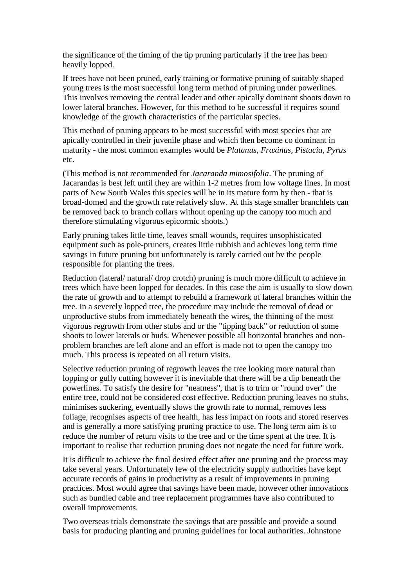the significance of the timing of the tip pruning particularly if the tree has been heavily lopped.

If trees have not been pruned, early training or formative pruning of suitably shaped young trees is the most successful long term method of pruning under powerlines. This involves removing the central leader and other apically dominant shoots down to lower lateral branches. However, for this method to be successful it requires sound knowledge of the growth characteristics of the particular species.

This method of pruning appears to be most successful with most species that are apically controlled in their juvenile phase and which then become co dominant in maturity - the most common examples would be *Platanus, Fraxinus, Pistacia, Pyrus* etc.

(This method is not recommended for *Jacaranda mimosifolia*. The pruning of Jacarandas is best left until they are within 1-2 metres from low voltage lines. In most parts of New South Wales this species will be in its mature form by then - that is broad-domed and the growth rate relatively slow. At this stage smaller branchlets can be removed back to branch collars without opening up the canopy too much and therefore stimulating vigorous epicormic shoots.)

Early pruning takes little time, leaves small wounds, requires unsophisticated equipment such as pole-pruners, creates little rubbish and achieves long term time savings in future pruning but unfortunately is rarely carried out bv the people responsible for planting the trees.

Reduction (lateral/ natural/ drop crotch) pruning is much more difficult to achieve in trees which have been lopped for decades. In this case the aim is usually to slow down the rate of growth and to attempt to rebuild a framework of lateral branches within the tree. In a severely lopped tree, the procedure may include the removal of dead or unproductive stubs from immediately beneath the wires, the thinning of the most vigorous regrowth from other stubs and or the "tipping back" or reduction of some shoots to lower laterals or buds. Whenever possible all horizontal branches and nonproblem branches are left alone and an effort is made not to open the canopy too much. This process is repeated on all return visits.

Selective reduction pruning of regrowth leaves the tree looking more natural than lopping or gully cutting however it is inevitable that there will be a dip beneath the powerlines. To satisfy the desire for "neatness", that is to trim or "round over" the entire tree, could not be considered cost effective. Reduction pruning leaves no stubs, minimises suckering, eventually slows the growth rate to normal, removes less foliage, recognises aspects of tree health, has less impact on roots and stored reserves and is generally a more satisfying pruning practice to use. The long term aim is to reduce the number of return visits to the tree and or the time spent at the tree. It is important to realise that reduction pruning does not negate the need for future work.

It is difficult to achieve the final desired effect after one pruning and the process may take several years. Unfortunately few of the electricity supply authorities have kept accurate records of gains in productivity as a result of improvements in pruning practices. Most would agree that savings have been made, however other innovations such as bundled cable and tree replacement programmes have also contributed to overall improvements.

Two overseas trials demonstrate the savings that are possible and provide a sound basis for producing planting and pruning guidelines for local authorities. Johnstone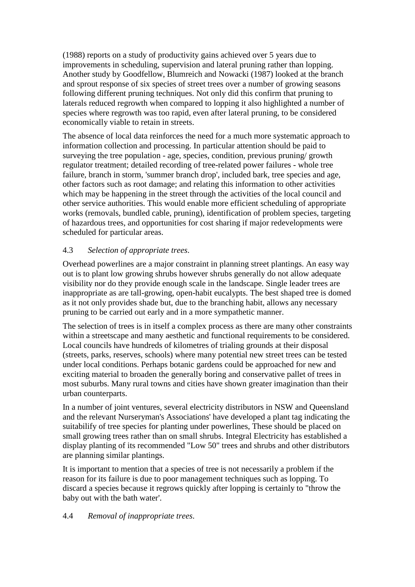(1988) reports on a study of productivity gains achieved over 5 years due to improvements in scheduling, supervision and lateral pruning rather than lopping. Another study by Goodfellow, Blumreich and Nowacki (1987) looked at the branch and sprout response of six species of street trees over a number of growing seasons following different pruning techniques. Not only did this confirm that pruning to laterals reduced regrowth when compared to lopping it also highlighted a number of species where regrowth was too rapid, even after lateral pruning, to be considered economically viable to retain in streets.

The absence of local data reinforces the need for a much more systematic approach to information collection and processing. In particular attention should be paid to surveying the tree population - age, species, condition, previous pruning/ growth regulator treatment; detailed recording of tree-related power failures - whole tree failure, branch in storm, 'summer branch drop', included bark, tree species and age, other factors such as root damage; and relating this information to other activities which may be happening in the street through the activities of the local council and other service authorities. This would enable more efficient scheduling of appropriate works (removals, bundled cable, pruning), identification of problem species, targeting of hazardous trees, and opportunities for cost sharing if major redevelopments were scheduled for particular areas.

### 4.3 *Selection of appropriate trees*.

Overhead powerlines are a major constraint in planning street plantings. An easy way out is to plant low growing shrubs however shrubs generally do not allow adequate visibility nor do they provide enough scale in the landscape. Single leader trees are inappropriate as are tall-growing, open-habit eucalypts. The best shaped tree is domed as it not only provides shade but, due to the branching habit, allows any necessary pruning to be carried out early and in a more sympathetic manner.

The selection of trees is in itself a complex process as there are many other constraints within a streetscape and many aesthetic and functional requirements to be considered. Local councils have hundreds of kilometres of trialing grounds at their disposal (streets, parks, reserves, schools) where many potential new street trees can be tested under local conditions. Perhaps botanic gardens could be approached for new and exciting material to broaden the generally boring and conservative pallet of trees in most suburbs. Many rural towns and cities have shown greater imagination than their urban counterparts.

In a number of joint ventures, several electricity distributors in NSW and Queensland and the relevant Nurseryman's Associations' have developed a plant tag indicating the suitabilify of tree species for planting under powerlines, These should be placed on small growing trees rather than on small shrubs. Integral Electricity has established a display planting of its recommended "Low 50" trees and shrubs and other distributors are planning similar plantings.

It is important to mention that a species of tree is not necessarily a problem if the reason for its failure is due to poor management techniques such as lopping. To discard a species because it regrows quickly after lopping is certainly to "throw the baby out with the bath water'.

### 4.4 *Removal of inappropriate trees*.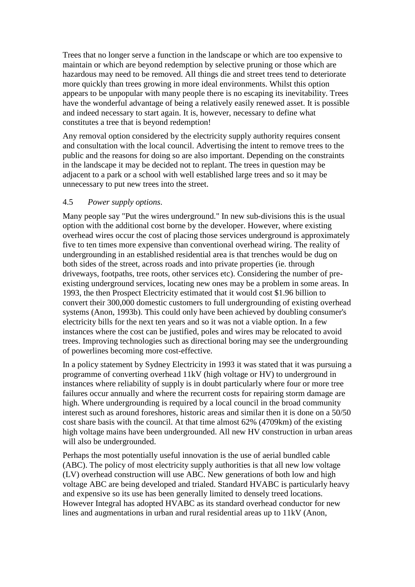Trees that no longer serve a function in the landscape or which are too expensive to maintain or which are beyond redemption by selective pruning or those which are hazardous may need to be removed. All things die and street trees tend to deteriorate more quickly than trees growing in more ideal environments. Whilst this option appears to be unpopular with many people there is no escaping its inevitability. Trees have the wonderful advantage of being a relatively easily renewed asset. It is possible and indeed necessary to start again. It is, however, necessary to define what constitutes a tree that is beyond redemption!

Any removal option considered by the electricity supply authority requires consent and consultation with the local council. Advertising the intent to remove trees to the public and the reasons for doing so are also important. Depending on the constraints in the landscape it may be decided not to replant. The trees in question may be adjacent to a park or a school with well established large trees and so it may be unnecessary to put new trees into the street.

#### 4.5 *Power supply options*.

Many people say "Put the wires underground." In new sub-divisions this is the usual option with the additional cost borne by the developer. However, where existing overhead wires occur the cost of placing those services underground is approximately five to ten times more expensive than conventional overhead wiring. The reality of undergrounding in an established residential area is that trenches would be dug on both sides of the street, across roads and into private properties (ie. through driveways, footpaths, tree roots, other services etc). Considering the number of preexisting underground services, locating new ones may be a problem in some areas. In 1993, the then Prospect Electricity estimated that it would cost \$1.96 billion to convert their 300,000 domestic customers to full undergrounding of existing overhead systems (Anon, 1993b). This could only have been achieved by doubling consumer's electricity bills for the next ten years and so it was not a viable option. In a few instances where the cost can be justified, poles and wires may be relocated to avoid trees. Improving technologies such as directional boring may see the undergrounding of powerlines becoming more cost-effective.

In a policy statement by Sydney Electricity in 1993 it was stated that it was pursuing a programme of converting overhead 11kV (high voltage or HV) to underground in instances where reliability of supply is in doubt particularly where four or more tree failures occur annually and where the recurrent costs for repairing storm damage are high. Where undergrounding is required by a local council in the broad community interest such as around foreshores, historic areas and similar then it is done on a 50/50 cost share basis with the council. At that time almost 62% (4709km) of the existing high voltage mains have been undergrounded. All new HV construction in urban areas will also be undergrounded.

Perhaps the most potentially useful innovation is the use of aerial bundled cable (ABC). The policy of most electricity supply authorities is that all new low voltage (LV) overhead construction will use ABC. New generations of both low and high voltage ABC are being developed and trialed. Standard HVABC is particularly heavy and expensive so its use has been generally limited to densely treed locations. However Integral has adopted HVABC as its standard overhead conductor for new lines and augmentations in urban and rural residential areas up to 11kV (Anon,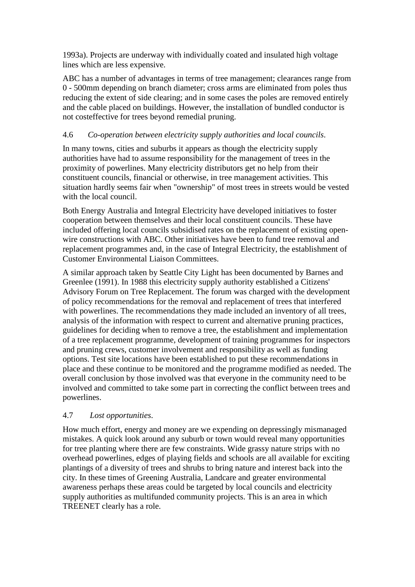1993a). Projects are underway with individually coated and insulated high voltage lines which are less expensive.

ABC has a number of advantages in terms of tree management; clearances range from 0 - 500mm depending on branch diameter; cross arms are eliminated from poles thus reducing the extent of side clearing; and in some cases the poles are removed entirely and the cable placed on buildings. However, the installation of bundled conductor is not costeffective for trees beyond remedial pruning.

### 4.6 *Co-operation between electricity supply authorities and local councils*.

In many towns, cities and suburbs it appears as though the electricity supply authorities have had to assume responsibility for the management of trees in the proximity of powerlines. Many electricity distributors get no help from their constituent councils, financial or otherwise, in tree management activities. This situation hardly seems fair when "ownership" of most trees in streets would be vested with the local council.

Both Energy Australia and Integral Electricity have developed initiatives to foster cooperation between themselves and their local constituent councils. These have included offering local councils subsidised rates on the replacement of existing openwire constructions with ABC. Other initiatives have been to fund tree removal and replacement programmes and, in the case of Integral Electricity, the establishment of Customer Environmental Liaison Committees.

A similar approach taken by Seattle City Light has been documented by Barnes and Greenlee (1991). In 1988 this electricity supply authority established a Citizens' Advisory Forum on Tree Replacement. The forum was charged with the development of policy recommendations for the removal and replacement of trees that interfered with powerlines. The recommendations they made included an inventory of all trees, analysis of the information with respect to current and alternative pruning practices, guidelines for deciding when to remove a tree, the establishment and implementation of a tree replacement programme, development of training programmes for inspectors and pruning crews, customer involvement and responsibility as well as funding options. Test site locations have been established to put these recommendations in place and these continue to be monitored and the programme modified as needed. The overall conclusion by those involved was that everyone in the community need to be involved and committed to take some part in correcting the conflict between trees and powerlines.

### 4.7 *Lost opportunities*.

How much effort, energy and money are we expending on depressingly mismanaged mistakes. A quick look around any suburb or town would reveal many opportunities for tree planting where there are few constraints. Wide grassy nature strips with no overhead powerlines, edges of playing fields and schools are all available for exciting plantings of a diversity of trees and shrubs to bring nature and interest back into the city. In these times of Greening Australia, Landcare and greater environmental awareness perhaps these areas could be targeted by local councils and electricity supply authorities as multifunded community projects. This is an area in which TREENET clearly has a role.